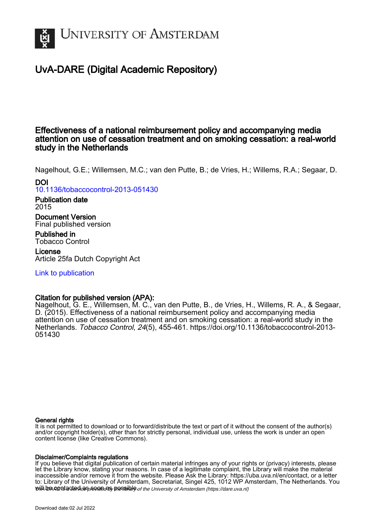

# UvA-DARE (Digital Academic Repository)

# Effectiveness of a national reimbursement policy and accompanying media attention on use of cessation treatment and on smoking cessation: a real-world study in the Netherlands

Nagelhout, G.E.; Willemsen, M.C.; van den Putte, B.; de Vries, H.; Willems, R.A.; Segaar, D.

DOI [10.1136/tobaccocontrol-2013-051430](https://doi.org/10.1136/tobaccocontrol-2013-051430)

Publication date 2015

Document Version Final published version

Published in Tobacco Control

License Article 25fa Dutch Copyright Act

[Link to publication](https://dare.uva.nl/personal/pure/en/publications/effectiveness-of-a-national-reimbursement-policy-and-accompanying-media-attention-on-use-of-cessation-treatment-and-on-smoking-cessation-a-realworld-study-in-the-netherlands(dc3da49b-9282-4db8-a00a-1d33de3541ad).html)

# Citation for published version (APA):

Nagelhout, G. E., Willemsen, M. C., van den Putte, B., de Vries, H., Willems, R. A., & Segaar, D. (2015). Effectiveness of a national reimbursement policy and accompanying media attention on use of cessation treatment and on smoking cessation: a real-world study in the Netherlands. Tobacco Control, 24(5), 455-461. [https://doi.org/10.1136/tobaccocontrol-2013-](https://doi.org/10.1136/tobaccocontrol-2013-051430) [051430](https://doi.org/10.1136/tobaccocontrol-2013-051430)

# General rights

It is not permitted to download or to forward/distribute the text or part of it without the consent of the author(s) and/or copyright holder(s), other than for strictly personal, individual use, unless the work is under an open content license (like Creative Commons).

# Disclaimer/Complaints regulations

will be contacted as sontacty pessible of the University of Amsterdam (https://dare.uva.nl) If you believe that digital publication of certain material infringes any of your rights or (privacy) interests, please let the Library know, stating your reasons. In case of a legitimate complaint, the Library will make the material inaccessible and/or remove it from the website. Please Ask the Library: https://uba.uva.nl/en/contact, or a letter to: Library of the University of Amsterdam, Secretariat, Singel 425, 1012 WP Amsterdam, The Netherlands. You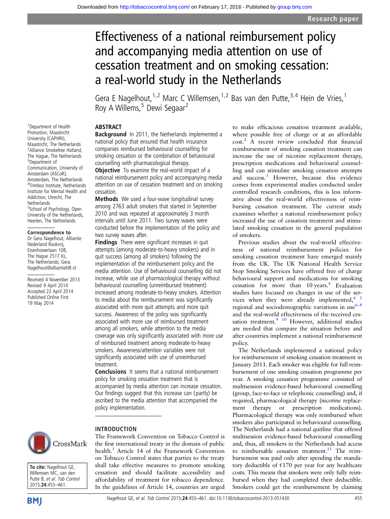# Effectiveness of a national reimbursement policy and accompanying media attention on use of cessation treatment and on smoking cessation: a real-world study in the Netherlands

Gera E Nagelhout,  $1,2$  Marc C Willemsen,  $1,2$  Bas van den Putte,  $3,4$  Hein de Vries,  $1$ Roy A Willems.<sup>5</sup> Dewi Segaar<sup>2</sup>

## ABSTRACT

Background In 2011, the Netherlands implemented a national policy that ensured that health insurance companies reimbursed behavioural counselling for smoking cessation or the combination of behavioural counselling with pharmacological therapy.

**Objective** To examine the real-world impact of a national reimbursement policy and accompanying media attention on use of cessation treatment and on smoking cessation.

Methods We used a four-wave longitudinal survey among 2763 adult smokers that started in September 2010 and was repeated at approximately 3 month intervals until June 2011. Two survey waves were conducted before the implementation of the policy and two survey waves after.

Findings There were significant increases in quit attempts (among moderate-to-heavy smokers) and in quit success (among all smokers) following the implementation of the reimbursement policy and the media attention. Use of behavioural counselling did not increase, while use of pharmacological therapy without behavioural counselling (unreimbursed treatment) increased among moderate-to-heavy smokers. Attention to media about the reimbursement was significantly associated with more quit attempts and more quit success. Awareness of the policy was significantly associated with more use of reimbursed treatment among all smokers, while attention to the media coverage was only significantly associated with more use of reimbursed treatment among moderate-to-heavy smokers. Awareness/attention variables were not significantly associated with use of unreimbursed treatment.

Conclusions It seems that a national reimbursement policy for smoking cessation treatment that is accompanied by media attention can increase cessation. Our findings suggest that this increase can (partly) be ascribed to the media attention that accompanied the policy implementation.

#### INTRODUCTION

The Framework Convention on Tobacco Control is the first international treaty in the domain of public health.<sup>1</sup> Article 14 of the Framework Convention on Tobacco Control states that parties to the treaty shall take effective measures to promote smoking cessation and should facilitate accessibility and affordability of treatment for tobacco dependence. In the guidelines of Article 14, countries are urged

to make efficacious cessation treatment available, where possible free of charge or at an affordable cost.[2](#page-7-0) A recent review concluded that financial reimbursement of smoking cessation treatment can increase the use of nicotine replacement therapy, prescription medications and behavioural counselling and can stimulate smoking cessation attempts and success.<sup>[3](#page-7-0)</sup> However, because this evidence comes from experimental studies conducted under controlled research conditions, this is less informative about the real-world effectiveness of reimbursing cessation treatment. The current study examines whether a national reimbursement policy increased the use of cessation treatment and stimulated smoking cessation in the general population of smokers.

Previous studies about the real-world effectiveness of national reimbursement policies for smoking cessation treatment have emerged mainly from the UK. The UK National Health Service Stop Smoking Services have offered free of charge behavioural support and medications for smoking cessation for more than  $10 \text{ years.}^4$  Evaluation studies have focused on changes in use of the services when they were already implemented,  $4\frac{5}{5}$ regional and sociodemographic variations in use $6-8$  $6-8$ and the real-world effectiveness of the received cessation treatment.<sup>9</sup> <sup>10</sup> However, additional studies are needed that compare the situation before and after countries implement a national reimbursement policy.

The Netherlands implemented a national policy for reimbursement of smoking cessation treatment in January 2011. Each smoker was eligible for full reimbursement of one smoking cessation programme per year. A smoking cessation programme consisted of multisession evidence-based behavioural counselling (group, face-to-face or telephonic counselling) and, if required, pharmacological therapy (nicotine replacement therapy or prescription medications). Pharmacological therapy was only reimbursed when smokers also participated in behavioural counselling. The Netherlands had a national quitline that offered multisession evidence-based behavioural counselling and, thus, all smokers in the Netherlands had access to reimbursable cessation treatment.<sup>[11](#page-7-0)</sup> The reimbursement was paid only after spending the mandatory deductible of  $E170$  per year for any healthcare costs. This means that smokers were only fully reimbursed when they had completed their deductible. Smokers could get the reimbursement by claiming

1 Department of Health Promotion, Maastricht University (CAPHRI), Maastricht, The Netherlands <sup>2</sup> Alliance Smokefree Holland, The Hague, The Netherlands 3 Department of Communication, University of Amsterdam (ASCoR), Amsterdam, The Netherlands 4 Trimbos Institute, Netherlands Institute for Mental Health and Addiction, Utrecht, The **Netherlands** <sup>5</sup>School of Psychology, Open University of the Netherlands, Heerlen, The Netherlands

#### Correspondence to

Dr Gera Nagelhout, Alliantie Nederland Rookvrij, Eisenhowerlaan 108, The Hague 2517 KL, The Netherlands; Gera. Nagelhout@alliantieNR.nl

Received 4 November 2013 Revised 9 April 2014 Accepted 22 April 2014 Published Online First 19 May 2014



To cite: Nagelhout GE, Willemsen MC, van den Putte B, et al. Tob Control 2015;24:455–461.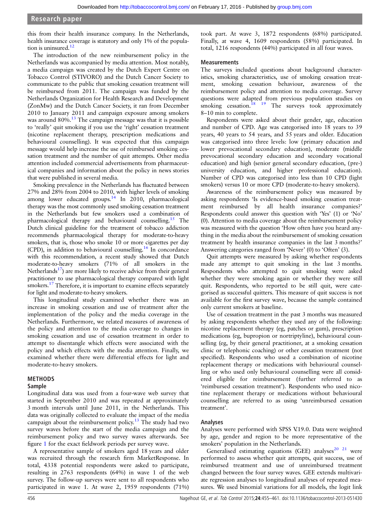this from their health insurance company. In the Netherlands, health insurance coverage is statutory and only 1% of the population is uninsured.<sup>12</sup>

The introduction of the new reimbursement policy in the Netherlands was accompanied by media attention. Most notably, a media campaign was created by the Dutch Expert Centre on Tobacco Control (STIVORO) and the Dutch Cancer Society to communicate to the public that smoking cessation treatment will be reimbursed from 2011. The campaign was funded by the Netherlands Organization for Health Research and Development (ZonMw) and the Dutch Cancer Society, it ran from December 2010 to January 2011 and campaign exposure among smokers was around 80%.<sup>[13](#page-7-0)</sup> The campaign message was that it is possible to 'really' quit smoking if you use the 'right' cessation treatment (nicotine replacement therapy, prescription medications and behavioural counselling). It was expected that this campaign message would help increase the use of reimbursed smoking cessation treatment and the number of quit attempts. Other media attention included commercial advertisements from pharmaceutical companies and information about the policy in news stories that were published in several media.

Smoking prevalence in the Netherlands has fluctuated between 27% and 28% from 2004 to 2010, with higher levels of smoking among lower educated groups. $14$  In 2010, pharmacological therapy was the most commonly used smoking cessation treatment in the Netherlands but few smokers used a combination of pharmacological therapy and behavioural counselling.[15](#page-7-0) The Dutch clinical guideline for the treatment of tobacco addiction recommends pharmacological therapy for moderate-to-heavy smokers, that is, those who smoke 10 or more cigarettes per day (CPD), in addition to behavioural counselling[.16](#page-7-0) In concordance with this recommendation, a recent study showed that Dutch moderate-to-heavy smokers (71% of all smokers in the Netherlands<sup>17</sup>) are more likely to receive advice from their general practitioner to use pharmacological therapy compared with light smokers.<sup>[17](#page-7-0)</sup> Therefore, it is important to examine effects separately for light and moderate-to-heavy smokers.

This longitudinal study examined whether there was an increase in smoking cessation and use of treatment after the implementation of the policy and the media coverage in the Netherlands. Furthermore, we related measures of awareness of the policy and attention to the media coverage to changes in smoking cessation and use of cessation treatment in order to attempt to disentangle which effects were associated with the policy and which effects with the media attention. Finally, we examined whether there were differential effects for light and moderate-to-heavy smokers.

# METHODS

# Sample

Longitudinal data was used from a four-wave web survey that started in September 2010 and was repeated at approximately 3 month intervals until June 2011, in the Netherlands. This data was originally collected to evaluate the impact of the media campaign about the reimbursement policy.<sup>[13](#page-7-0)</sup> The study had two survey waves before the start of the media campaign and the reimbursement policy and two survey waves afterwards. See figure [1](#page-3-0) for the exact fieldwork periods per survey wave.

A representative sample of smokers aged 18 years and older was recruited through the research firm MarketResponse. In total, 4338 potential respondents were asked to participate, resulting in 2763 respondents (64%) in wave 1 of the web survey. The follow-up surveys were sent to all respondents who participated in wave 1. At wave 2, 1959 respondents (71%)

took part. At wave 3, 1872 respondents (68%) participated. Finally, at wave 4, 1609 respondents (58%) participated. In total, 1216 respondents (44%) participated in all four waves.

#### **Measurements**

The surveys included questions about background characteristics, smoking characteristics, use of smoking cessation treatment, smoking cessation behaviour, awareness of the reimbursement policy and attention to media coverage. Survey questions were adapted from previous population studies on smoking cessation.<sup>18</sup> <sup>19</sup> The surveys took approximately 8–10 min to complete.

Respondents were asked about their gender, age, education and number of CPD. Age was categorised into 18 years to 39 years, 40 years to 54 years, and 55 years and older. Education was categorised into three levels: low (primary education and lower prevocational secondary education), moderate (middle prevocational secondary education and secondary vocational education) and high (senior general secondary education, (pre-) university education, and higher professional education). Number of CPD was categorised into less than 10 CPD (light smokers) versus 10 or more CPD (moderate-to-heavy smokers).

Awareness of the reimbursement policy was measured by asking respondents 'Is evidence-based smoking cessation treatment reimbursed by all health insurance companies?' Respondents could answer this question with 'Yes' (1) or 'No' (0). Attention to media coverage about the reimbursement policy was measured with the question 'How often have you heard anything in the media about the reimbursement of smoking cessation treatment by health insurance companies in the last 3 months?' Answering categories ranged from 'Never' (0) to 'Often' (3).

Quit attempts were measured by asking whether respondents made any attempt to quit smoking in the last 3 months. Respondents who attempted to quit smoking were asked whether they were smoking again or whether they were still quit. Respondents, who reported to be still quit, were categorised as successful quitters. This measure of quit success is not available for the first survey wave, because the sample contained only current smokers at baseline.

Use of cessation treatment in the past 3 months was measured by asking respondents whether they used any of the following: nicotine replacement therapy (eg, patches or gum), prescription medications (eg, bupropion or nortriptyline), behavioural counselling (eg, by their general practitioner, at a smoking cessation clinic or telephonic coaching) or other cessation treatment (not specified). Respondents who used a combination of nicotine replacement therapy or medications with behavioural counselling or who used only behavioural counselling were all considered eligible for reimbursement (further referred to as 'reimbursed cessation treatment'). Respondents who used nicotine replacement therapy or medications without behavioural counselling are referred to as using 'unreimbursed cessation treatment'.

#### Analyses

Analyses were performed with SPSS V.19.0. Data were weighted by age, gender and region to be more representative of the smokers' population in the Netherlands.

Generalised estimating equations (GEE) analyses $20$   $21$  were performed to assess whether quit attempts, quit success, use of reimbursed treatment and use of unreimbursed treatment changed between the four survey waves. GEE extends multivariate regression analyses to longitudinal analyses of repeated measures. We used binomial variations for all models, the logit link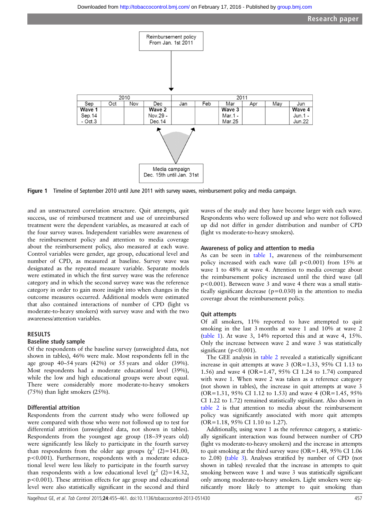<span id="page-3-0"></span>

Figure 1 Timeline of September 2010 until June 2011 with survey waves, reimbursement policy and media campaign.

and an unstructured correlation structure. Quit attempts, quit success, use of reimbursed treatment and use of unreimbursed treatment were the dependent variables, as measured at each of the four survey waves. Independent variables were awareness of the reimbursement policy and attention to media coverage about the reimbursement policy, also measured at each wave. Control variables were gender, age group, educational level and number of CPD, as measured at baseline. Survey wave was designated as the repeated measure variable. Separate models were estimated in which the first survey wave was the reference category and in which the second survey wave was the reference category in order to gain more insight into when changes in the outcome measures occurred. Additional models were estimated that also contained interactions of number of CPD (light vs moderate-to-heavy smokers) with survey wave and with the two awareness/attention variables.

#### RESULTS

#### Baseline study sample

Of the respondents of the baseline survey (unweighted data, not shown in tables), 46% were male. Most respondents fell in the age group 40–54 years (42%) or 55 years and older (39%). Most respondents had a moderate educational level (39%), while the low and high educational groups were about equal. There were considerably more moderate-to-heavy smokers (75%) than light smokers (25%).

#### Differential attrition

Respondents from the current study who were followed up were compared with those who were not followed up to test for differential attrition (unweighted data, not shown in tables). Respondents from the youngest age group (18–39 years old) were significantly less likely to participate in the fourth survey than respondents from the older age groups ( $\chi^2$  (2)=141.00, p<0.001). Furthermore, respondents with a moderate educational level were less likely to participate in the fourth survey than respondents with a low educational level  $(\chi^2 \text{ } (2)=14.32,$ p<0.001). These attrition effects for age group and educational level were also statistically significant in the second and third waves of the study and they have become larger with each wave. Respondents who were followed up and who were not followed up did not differ in gender distribution and number of CPD (light vs moderate-to-heavy smokers).

#### Awareness of policy and attention to media

As can be seen in [table 1,](#page-4-0) awareness of the reimbursement policy increased with each wave (all  $p<0.001$ ) from 15% at wave 1 to 48% at wave 4. Attention to media coverage about the reimbursement policy increased until the third wave (all p<0.001). Between wave 3 and wave 4 there was a small statistically significant decrease ( $p=0.030$ ) in the attention to media coverage about the reimbursement policy.

## Quit attempts

Of all smokers, 11% reported to have attempted to quit smoking in the last 3 months at wave 1 and 10% at wave 2 ([table 1\)](#page-4-0). At wave 3, 14% reported this and at wave 4, 15%. Only the increase between wave 2 and wave 3 was statistically significant (p<0.001).

The GEE analysis in [table 2](#page-4-0) revealed a statistically significant increase in quit attempts at wave  $3$  (OR=1.33, 95% CI 1.13 to 1.56) and wave 4 (OR=1.47, 95% CI 1.24 to 1.74) compared with wave 1. When wave 2 was taken as a reference category (not shown in tables), the increase in quit attempts at wave 3 (OR=1.31, 95% CI 1.12 to 1.53) and wave 4 (OR=1.45, 95% CI 1.22 to 1.72) remained statistically significant. Also shown in [table 2](#page-4-0) is that attention to media about the reimbursement policy was significantly associated with more quit attempts (OR=1.18, 95% CI 1.10 to 1.27).

Additionally, using wave 1 as the reference category, a statistically significant interaction was found between number of CPD (light vs moderate-to-heavy smokers) and the increase in attempts to quit smoking at the third survey wave (OR=1.48, 95% CI 1.06 to 2.08) [\(table 3](#page-5-0)). Analyses stratified by number of CPD (not shown in tables) revealed that the increase in attempts to quit smoking between wave 1 and wave 3 was statistically significant only among moderate-to-heavy smokers. Light smokers were significantly more likely to attempt to quit smoking than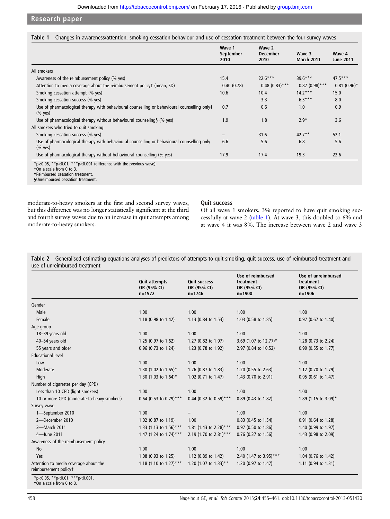<span id="page-4-0"></span>Research paper

|  | Table 1 Changes in awareness/attention, smoking cessation behaviour and use of cessation treatment between the four survey waves |  |  |  |  |  |  |
|--|----------------------------------------------------------------------------------------------------------------------------------|--|--|--|--|--|--|
|--|----------------------------------------------------------------------------------------------------------------------------------|--|--|--|--|--|--|

|                                                                                                                                                                                 | Wave 1<br>September<br>2010 | Wave 2<br><b>December</b><br>2010 | Wave 3<br><b>March 2011</b> | Wave 4<br><b>June 2011</b> |
|---------------------------------------------------------------------------------------------------------------------------------------------------------------------------------|-----------------------------|-----------------------------------|-----------------------------|----------------------------|
| All smokers                                                                                                                                                                     |                             |                                   |                             |                            |
| Awareness of the reimbursement policy (% yes)                                                                                                                                   | 15.4                        | $22.6***$                         | $39.6***$                   | $47.5***$                  |
| Attention to media coverage about the reimbursement policyt (mean, SD)                                                                                                          | 0.40(0.78)                  | $0.48(0.83)$ ***                  | $0.87(0.98)$ ***            | $0.81(0.96)$ *             |
| Smoking cessation attempt (% yes)                                                                                                                                               | 10.6                        | 10.4                              | $14.2***$                   | 15.0                       |
| Smoking cessation success (% yes)                                                                                                                                               |                             | 3.3                               | $6.3***$                    | 8.0                        |
| Use of pharmacological therapy with behavioural counselling or behavioural counselling only#<br>$(%$ yes)                                                                       | 0.7                         | 0.6                               | 1.0                         | 0.9                        |
| Use of pharmacological therapy without behavioural counseling § (% yes)                                                                                                         | 1.9                         | 1.8                               | $2.9*$                      | 3.6                        |
| All smokers who tried to quit smoking                                                                                                                                           |                             |                                   |                             |                            |
| Smoking cessation success (% yes)                                                                                                                                               |                             | 31.6                              | $42.7***$                   | 52.1                       |
| Use of pharmacological therapy with behavioural counselling or behavioural counselling only<br>$(\%$ yes)                                                                       | 6.6                         | 5.6                               | 6.8                         | 5.6                        |
| Use of pharmacological therapy without behavioural counselling (% yes)                                                                                                          | 17.9                        | 17.4                              | 19.3                        | 22.6                       |
| *p<0.05, **p<0.01, ***p<0.001 (difference with the previous wave).<br>ton a scale from 0 to 3.<br><b>‡Reimbursed cessation treatment.</b><br>§Unreimbursed cessation treatment. |                             |                                   |                             |                            |

moderate-to-heavy smokers at the first and second survey waves, but this difference was no longer statistically significant at the third and fourth survey waves due to an increase in quit attempts among moderate-to-heavy smokers.

#### Quit success

Of all wave 1 smokers, 3% reported to have quit smoking successfully at wave 2 (table 1). At wave 3, this doubled to 6% and at wave 4 it was 8%. The increase between wave 2 and wave 3

Table 2 Generalised estimating equations analyses of predictors of attempts to quit smoking, quit success, use of reimbursed treatment and use of unreimbursed treatment

|                                                                | <b>Quit attempts</b><br>OR (95% CI)<br>$n = 1972$ | <b>Quit success</b><br>OR (95% CI)<br>$n = 1746$ | Use of reimbursed<br>treatment<br>OR (95% CI)<br>$n = 1900$ | Use of unreimbursed<br>treatment<br>OR (95% CI)<br>$n = 1906$ |
|----------------------------------------------------------------|---------------------------------------------------|--------------------------------------------------|-------------------------------------------------------------|---------------------------------------------------------------|
| Gender                                                         |                                                   |                                                  |                                                             |                                                               |
| Male                                                           | 1.00                                              | 1.00                                             | 1.00                                                        | 1.00                                                          |
| Female                                                         | 1.18 (0.98 to 1.42)                               | 1.13 (0.84 to 1.53)                              | 1.03 (0.58 to 1.85)                                         | 0.97 (0.67 to 1.40)                                           |
| Age group                                                      |                                                   |                                                  |                                                             |                                                               |
| 18-39 years old                                                | 1.00                                              | 1.00                                             | 1.00                                                        | 1.00                                                          |
| 40-54 years old                                                | 1.25 (0.97 to 1.62)                               | 1.27 (0.82 to 1.97)                              | 3.69 (1.07 to 12.77)*                                       | 1.28 (0.73 to 2.24)                                           |
| 55 years and older                                             | 0.96 (0.73 to 1.24)                               | 1.23 (0.78 to 1.92)                              | 2.97 (0.84 to 10.52)                                        | 0.99 (0.55 to 1.77)                                           |
| <b>Educational level</b>                                       |                                                   |                                                  |                                                             |                                                               |
| Low                                                            | 1.00                                              | 1.00                                             | 1.00                                                        | 1.00                                                          |
| Moderate                                                       | 1.30 (1.02 to $1.65$ )*                           | 1.26 (0.87 to 1.83)                              | 1.20 $(0.55$ to 2.63)                                       | 1.12 $(0.70 \text{ to } 1.79)$                                |
| High                                                           | 1.30 (1.03 to $1.64$ )*                           | 1.02 (0.71 to 1.47)                              | 1.43 (0.70 to 2.91)                                         | 0.95 (0.61 to 1.47)                                           |
| Number of cigarettes per day (CPD)                             |                                                   |                                                  |                                                             |                                                               |
| Less than 10 CPD (light smokers)                               | 1.00                                              | 1.00                                             | 1.00                                                        | 1.00                                                          |
| 10 or more CPD (moderate-to-heavy smokers)                     | 0.64 (0.53 to 0.79)***                            | 0.44 (0.32 to 0.59)***                           | 0.89 (0.43 to 1.82)                                         | 1.89 (1.15 to 3.09)*                                          |
| Survey wave                                                    |                                                   |                                                  |                                                             |                                                               |
| 1-September 2010                                               | 1.00                                              |                                                  | 1.00                                                        | 1.00                                                          |
| 2-December 2010                                                | 1.02 (0.87 to 1.19)                               | 1.00                                             | 0.83 (0.45 to 1.54)                                         | 0.91 (0.64 to 1.28)                                           |
| 3-March 2011                                                   | 1.33 (1.13 to 1.56)***                            | 1.81 (1.43 to 2.28)***                           | 0.97 (0.50 to 1.86)                                         | 1.40 (0.99 to 1.97)                                           |
| 4-June 2011                                                    | 1.47 (1.24 to $1.74$ )***                         | 2.19 (1.70 to 2.81)***                           | 0.76 (0.37 to 1.56)                                         | 1.43 (0.98 to 2.09)                                           |
| Awareness of the reimbursement policy                          |                                                   |                                                  |                                                             |                                                               |
| No                                                             | 1.00                                              | 1.00                                             | 1.00                                                        | 1.00                                                          |
| Yes                                                            | 1.08 (0.93 to 1.25)                               | 1.12 (0.89 to 1.42)                              | 2.40 (1.47 to 3.95)***                                      | 1.04 (0.76 to 1.42)                                           |
| Attention to media coverage about the<br>reimbursement policyt | 1.18 (1.10 to 1.27)***                            | 1.20 (1.07 to 1.33)**                            | 1.20 (0.97 to 1.47)                                         | 1.11 (0.94 to 1.31)                                           |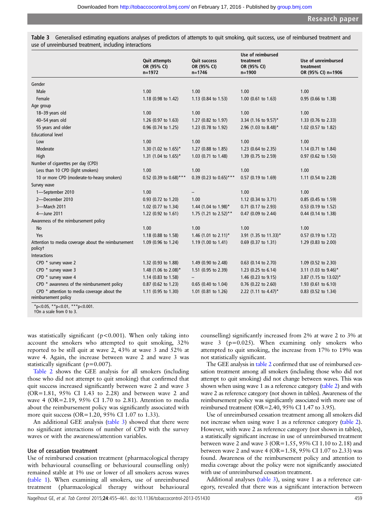<span id="page-5-0"></span>Table 3 Generalised estimating equations analyses of predictors of attempts to quit smoking, quit success, use of reimbursed treatment and use of unreimbursed treatment, including interactions

|                                                                     | <b>Quit attempts</b><br>OR (95% CI)<br>$n = 1972$ | <b>Quit success</b><br>OR (95% CI)<br>$n = 1746$ | Use of reimbursed<br>treatment<br>OR (95% CI)<br>$n = 1900$ | Use of unreimbursed<br>treatment<br>OR (95% CI) n=1906 |
|---------------------------------------------------------------------|---------------------------------------------------|--------------------------------------------------|-------------------------------------------------------------|--------------------------------------------------------|
| Gender                                                              |                                                   |                                                  |                                                             |                                                        |
| Male                                                                | 1.00                                              | 1.00                                             | 1.00                                                        | 1.00                                                   |
| Female                                                              | 1.18 (0.98 to 1.42)                               | 1.13 (0.84 to 1.53)                              | 1.00 (0.61 to 1.63)                                         | 0.95 (0.66 to 1.38)                                    |
| Age group                                                           |                                                   |                                                  |                                                             |                                                        |
| 18-39 years old                                                     | 1.00                                              | 1.00                                             | 1.00                                                        | 1.00                                                   |
| 40-54 years old                                                     | 1.26 (0.97 to 1.63)                               | 1.27 (0.82 to 1.97)                              | 3.34 (1.16 to 9.57)*                                        | 1.33 (0.76 to 2.33)                                    |
| 55 years and older                                                  | 0.96 (0.74 to 1.25)                               | 1.23 (0.78 to 1.92)                              | 2.96 (1.03 to 8.48)*                                        | 1.02 (0.57 to 1.82)                                    |
| <b>Educational level</b>                                            |                                                   |                                                  |                                                             |                                                        |
| Low                                                                 | 1.00                                              | 1.00                                             | 1.00                                                        | 1.00                                                   |
| Moderate                                                            | 1.30 (1.02 to 1.65)*                              | 1.27 (0.88 to 1.85)                              | 1.23 (0.64 to 2.35)                                         | 1.14 (0.71 to 1.84)                                    |
| High                                                                | 1.31 (1.04 to 1.65)*                              | 1.03 (0.71 to 1.48)                              | 1.39 (0.75 to 2.59)                                         | 0.97 (0.62 to 1.50)                                    |
| Number of cigarettes per day (CPD)                                  |                                                   |                                                  |                                                             |                                                        |
| Less than 10 CPD (light smokers)                                    | 1.00                                              | 1.00                                             | 1.00                                                        | 1.00                                                   |
| 10 or more CPD (moderate-to-heavy smokers)                          | 0.52 (0.39 to 0.68)***                            | 0.39 (0.23 to 0.65)***                           | 0.57 (0.19 to 1.69)                                         | 1.11 (0.54 to 2.28)                                    |
| Survey wave                                                         |                                                   |                                                  |                                                             |                                                        |
| 1-September 2010                                                    | 1.00                                              |                                                  | 1.00                                                        | 1.00                                                   |
| 2-December 2010                                                     | 0.93 (0.72 to 1.20)                               | 1.00                                             | 1.12 (0.34 to 3.71)                                         | 0.85 (0.45 to 1.59)                                    |
| 3-March 2011                                                        | 1.02 (0.77 to 1.34)                               | 1.44 (1.04 to 1.98)*                             | 0.71 (0.17 to 2.93)                                         | 0.53 (0.19 to 1.52)                                    |
| 4-June 2011                                                         | 1.22 (0.92 to 1.61)                               | 1.75 (1.21 to 2.52)**                            | 0.47 (0.09 to 2.44)                                         | 0.44 (0.14 to 1.38)                                    |
| Awareness of the reimbursement policy                               |                                                   |                                                  |                                                             |                                                        |
| No                                                                  | 1.00                                              | 1.00                                             | 1.00                                                        | 1.00                                                   |
| Yes                                                                 | 1.18 (0.88 to 1.58)                               | 1.46 (1.01 to 2.11)*                             | 3.91 (1.35 to 11.33)*                                       | 0.57 (0.19 to 1.72)                                    |
| Attention to media coverage about the reimbursement<br>policyt      | 1.09 (0.96 to 1.24)                               | 1.19 (1.00 to 1.41)                              | 0.69 (0.37 to 1.31)                                         | 1.29 (0.83 to 2.00)                                    |
| <b>Interactions</b>                                                 |                                                   |                                                  |                                                             |                                                        |
| CPD * survey wave 2                                                 | 1.32 (0.93 to 1.88)                               | 1.49 (0.90 to 2.48)                              | $0.63$ (0.14 to 2.70)                                       | 1.09 (0.52 to 2.30)                                    |
| CPD * survey wave 3                                                 | 1.48 (1.06 to 2.08)*                              | 1.51 (0.95 to 2.39)                              | 1.23 (0.25 to 6.14)                                         | 3.11 (1.03 to 9.46)*                                   |
| CPD * survey wave 4                                                 | 1.14 (0.83 to 1.58)                               |                                                  | 1.46 (0.23 to 9.15)                                         | 3.87 (1.15 to 13.02)*                                  |
| CPD * awareness of the reimbursement policy                         | 0.87 (0.62 to 1.23)                               | 0.65 (0.40 to 1.04)                              | $0.76$ (0.22 to 2.60)                                       | 1.93 (0.61 to 6.10)                                    |
| CPD * attention to media coverage about the<br>reimbursement policy | 1.11 (0.95 to 1.30)                               | 1.01 (0.81 to 1.26)                              | 2.22 (1.11 to 4.47)*                                        | 0.83 (0.52 to 1.34)                                    |
| *n<0.05 **n<0.01 ***n<0.001                                         |                                                   |                                                  |                                                             |                                                        |

\*p<0.05, \*\*p<0.01, \*\*\*p<0.001. †On a scale from 0 to 3.

was statistically significant ( $p < 0.001$ ). When only taking into account the smokers who attempted to quit smoking, 32% reported to be still quit at wave 2, 43% at wave 3 and 52% at wave 4. Again, the increase between wave 2 and wave 3 was statistically significant (p=0.007).

[Table 2](#page-4-0) shows the GEE analysis for all smokers (including those who did not attempt to quit smoking) that confirmed that quit success increased significantly between wave 2 and wave 3 (OR=1.81, 95% CI 1.43 to 2.28) and between wave 2 and wave 4 (OR=2.19, 95% CI 1.70 to 2.81). Attention to media about the reimbursement policy was significantly associated with more quit success (OR=1.20, 95% CI 1.07 to 1.33).

An additional GEE analysis (table 3) showed that there were no significant interactions of number of CPD with the survey waves or with the awareness/attention variables.

#### Use of cessation treatment

Use of reimbursed cessation treatment (pharmacological therapy with behavioural counselling or behavioural counselling only) remained stable at 1% use or lower of all smokers across waves ([table 1\)](#page-4-0). When examining all smokers, use of unreimbursed treatment (pharmacological therapy without behavioural counselling) significantly increased from 2% at wave 2 to 3% at wave  $3$  ( $p=0.025$ ). When examining only smokers who attempted to quit smoking, the increase from 17% to 19% was not statistically significant.

The GEE analysis in [table 2](#page-4-0) confirmed that use of reimbursed cessation treatment among all smokers (including those who did not attempt to quit smoking) did not change between waves. This was shown when using wave 1 as a reference category [\(table 2\)](#page-4-0) and with wave 2 as reference category (not shown in tables). Awareness of the reimbursement policy was significantly associated with more use of reimbursed treatment (OR=2.40, 95% CI 1.47 to 3.95).

Use of unreimbursed cessation treatment among all smokers did not increase when using wave 1 as a reference category [\(table 2\)](#page-4-0). However, with wave 2 as reference category (not shown in tables), a statistically significant increase in use of unreimbursed treatment between wave 2 and wave 3 (OR=1.55, 95% CI 1.10 to 2.18) and between wave 2 and wave 4 (OR=1.58, 95% CI 1.07 to 2.33) was found. Awareness of the reimbursement policy and attention to media coverage about the policy were not significantly associated with use of unreimbursed cessation treatment.

Additional analyses (table 3), using wave 1 as a reference category, revealed that there was a significant interaction between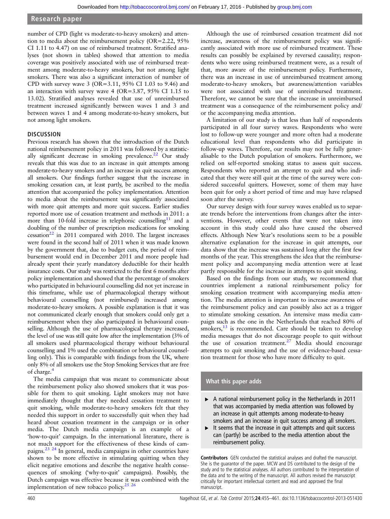### Research paper

number of CPD (light vs moderate-to-heavy smokers) and attention to media about the reimbursement policy (OR=2.22, 95% CI 1.11 to 4.47) on use of reimbursed treatment. Stratified analyses (not shown in tables) showed that attention to media coverage was positively associated with use of reimbursed treatment among moderate-to-heavy smokers, but not among light smokers. There was also a significant interaction of number of CPD with survey wave 3 (OR=3.11,  $95\%$  CI 1.03 to 9.46) and an interaction with survey wave 4 (OR=3.87, 95% CI 1.15 to 13.02). Stratified analyses revealed that use of unreimbursed treatment increased significantly between waves 1 and 3 and between waves 1 and 4 among moderate-to-heavy smokers, but not among light smokers.

#### **DISCUSSION**

Previous research has shown that the introduction of the Dutch national reimbursement policy in 2011 was followed by a statistically significant decrease in smoking prevalence.<sup>22</sup> Our study reveals that this was due to an increase in quit attempts among moderate-to-heavy smokers and an increase in quit success among all smokers. Our findings further suggest that the increase in smoking cessation can, at least partly, be ascribed to the media attention that accompanied the policy implementation. Attention to media about the reimbursement was significantly associated with more quit attempts and more quit success. Earlier studies reported more use of cessation treatment and methods in 2011: a more than 10-fold increase in telephonic counselling<sup>11</sup> and a doubling of the number of prescription medications for smoking  $c$ essation<sup>22</sup> in 2011 compared with 2010. The largest increases were found in the second half of 2011 when it was made known by the government that, due to budget cuts, the period of reimbursement would end in December 2011 and more people had already spent their yearly mandatory deductible for their health insurance costs. Our study was restricted to the first 6 months after policy implementation and showed that the percentage of smokers who participated in behavioural counselling did not yet increase in this timeframe, while use of pharmacological therapy without behavioural counselling (not reimbursed) increased among moderate-to-heavy smokers. A possible explanation is that it was not communicated clearly enough that smokers could only get a reimbursement when they also participated in behavioural counselling. Although the use of pharmacological therapy increased, the level of use was still quite low after the implementation (3% of all smokers used pharmacological therapy without behavioural counselling and 1% used the combination or behavioural counselling only). This is comparable with findings from the UK, where only 8% of all smokers use the Stop Smoking Services that are free of charge.[4](#page-7-0)

The media campaign that was meant to communicate about the reimbursement policy also showed smokers that it was possible for them to quit smoking. Light smokers may not have immediately thought that they needed cessation treatment to quit smoking, while moderate-to-heavy smokers felt that they needed this support in order to successfully quit when they had heard about cessation treatment in the campaign or in other media. The Dutch media campaign is an example of a 'how-to-quit' campaign. In the international literature, there is not much support for the effectiveness of these kinds of campaigns.[23 24](#page-7-0) In general, media campaigns in other countries have shown to be more effective in stimulating quitting when they elicit negative emotions and describe the negative health consequences of smoking ('why-to-quit' campaigns). Possibly, the Dutch campaign was effective because it was combined with the implementation of new tobacco policy.<sup>25</sup> <sup>26</sup>

Although the use of reimbursed cessation treatment did not increase, awareness of the reimbursement policy was significantly associated with more use of reimbursed treatment. These results can possibly be explained by reversed causality; respondents who were using reimbursed treatment were, as a result of that, more aware of the reimbursement policy. Furthermore, there was an increase in use of unreimbursed treatment among moderate-to-heavy smokers, but awareness/attention variables were not associated with use of unreimbursed treatment. Therefore, we cannot be sure that the increase in unreimbursed treatment was a consequence of the reimbursement policy and/ or the accompanying media attention.

A limitation of our study is that less than half of respondents participated in all four survey waves. Respondents who were lost to follow-up were younger and more often had a moderate educational level than respondents who did participate in follow-up waves. Therefore, our results may not be fully generalisable to the Dutch population of smokers. Furthermore, we relied on self-reported smoking status to assess quit success. Respondents who reported an attempt to quit and who indicated that they were still quit at the time of the survey were considered successful quitters. However, some of them may have been quit for only a short period of time and may have relapsed soon after the survey.

Our survey design with four survey waves enabled us to separate trends before the interventions from changes after the interventions. However, other events that were not taken into account in this study could also have caused the observed effects. Although New Year's resolutions seem to be a possible alternative explanation for the increase in quit attempts, our data show that the increase was sustained long after the first few months of the year. This strengthens the idea that the reimbursement policy and accompanying media attention were at least partly responsible for the increase in attempts to quit smoking.

Based on the findings from our study, we recommend that countries implement a national reimbursement policy for smoking cessation treatment with accompanying media attention. The media attention is important to increase awareness of the reimbursement policy and can possibly also act as a trigger to stimulate smoking cessation. An intensive mass media campaign such as the one in the Netherlands that reached 80% of  $smokes, <sup>13</sup>$  $smokes, <sup>13</sup>$  $smokes, <sup>13</sup>$  is recommended. Care should be taken to develop media messages that do not discourage people to quit without the use of cessation treatment.<sup>[27](#page-7-0)</sup> Media should encourage attempts to quit smoking and the use of evidence-based cessation treatment for those who have more difficulty to quit.

## What this paper adds

- ► A national reimbursement policy in the Netherlands in 2011 that was accompanied by media attention was followed by an increase in quit attempts among moderate-to-heavy smokers and an increase in quit success among all smokers.
- It seems that the increase in quit attempts and quit success can (partly) be ascribed to the media attention about the reimbursement policy.

Contributors GEN conducted the statistical analyses and drafted the manuscript. She is the guarantor of the paper. MCW and DS contributed to the design of the study and to the statistical analyses. All authors contributed to the interpretation of the data and to the writing of the manuscript. All authors revised the manuscript critically for important intellectual content and read and approved the final manuscript.